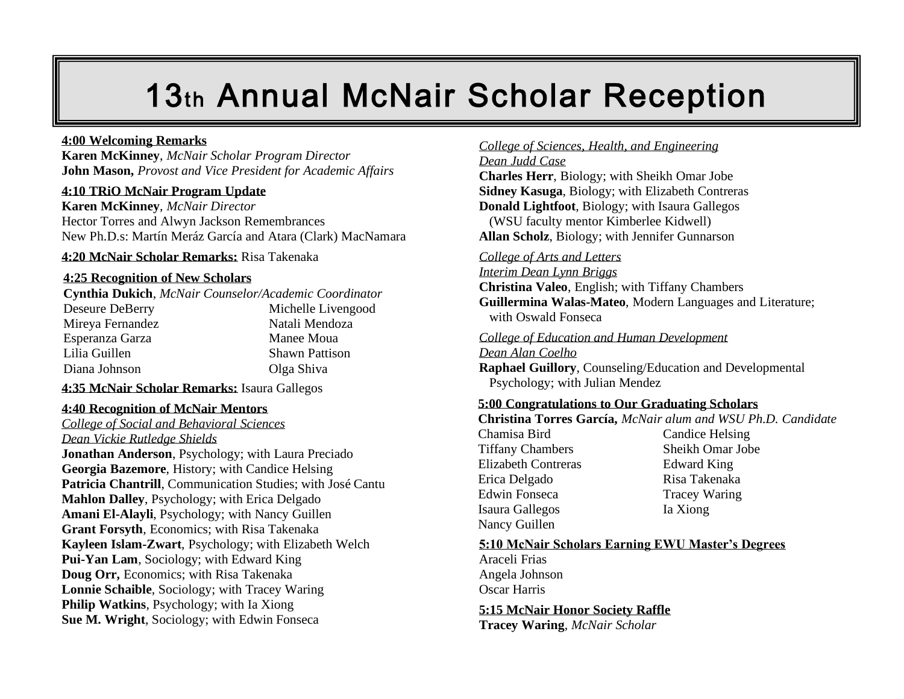# 13th Annual McNair Scholar Reception

**Karen McKinney**, *McNair Scholar Program Director* **John Mason,** *Provost and Vice President for Academic Affairs*

#### **4:10 TRiO McNair Program Update**

**Karen McKinney**, *McNair Director* Hector Torres and Alwyn Jackson Remembrances New Ph.D.s: Martín Meráz García and Atara (Clark) MacNamara

#### **4:20 McNair Scholar Remarks:** Risa Takenaka

#### **4:25 Recognition of New Scholars**

**Cynthia Dukich**, *McNair Counselor/Academic Coordinator* Deseure DeBerry Michelle Livengood Mireya Fernandez Natali Mendoza Esperanza Garza Manee Moua Lilia Guillen Shawn Pattison Diana Johnson Olga Shiva

**4:35 McNair Scholar Remarks:** Isaura Gallegos

#### **4:40 Recognition of McNair Mentors**

*College of Social and Behavioral Sciences Dean Vickie Rutledge Shields*

**Jonathan Anderson**, Psychology; with Laura Preciado **Georgia Bazemore**, History; with Candice Helsing **Patricia Chantrill**, Communication Studies; with José Cantu **Mahlon Dalley**, Psychology; with Erica Delgado **Amani El-Alayli**, Psychology; with Nancy Guillen **Grant Forsyth**, Economics; with Risa Takenaka **Kayleen Islam-Zwart**, Psychology; with Elizabeth Welch **Pui-Yan Lam**, Sociology; with Edward King **Doug Orr,** Economics; with Risa Takenaka **Lonnie Schaible**, Sociology; with Tracey Waring **Philip Watkins**, Psychology; with Ia Xiong **Sue M. Wright**, Sociology; with Edwin Fonseca

### **4:00 Welcoming Remarks** College of Sciences, Health, and Engineering College of Sciences, Health, and Engineering *Dean Judd Case*

**Charles Herr**, Biology; with Sheikh Omar Jobe **Sidney Kasuga**, Biology; with Elizabeth Contreras **Donald Lightfoot**, Biology; with Isaura Gallegos (WSU faculty mentor Kimberlee Kidwell) **Allan Scholz**, Biology; with Jennifer Gunnarson

#### *College of Arts and Letters*

*Interim Dean Lynn Briggs* **Christina Valeo**, English; with Tiffany Chambers **Guillermina Walas-Mateo**, Modern Languages and Literature; with Oswald Fonseca

#### *College of Education and Human Development*

*Dean Alan Coelho*

**Raphael Guillory**, Counseling/Education and Developmental Psychology; with Julian Mendez

#### **5:00 Congratulations to Our Graduating Scholars**

**Christina Torres García,** *McNair alum and WSU Ph.D. Candidate*

Chamisa Bird Candice Helsing Tiffany Chambers Sheikh Omar Jobe Elizabeth Contreras Edward King Erica Delgado Risa Takenaka Edwin Fonseca Tracey Waring Isaura Gallegos Ia Xiong Nancy Guillen

#### **5:10 McNair Scholars Earning EWU Master's Degrees**

Araceli Frias Angela Johnson Oscar Harris

**5:15 McNair Honor Society Raffle**

**Tracey Waring**, *McNair Scholar*